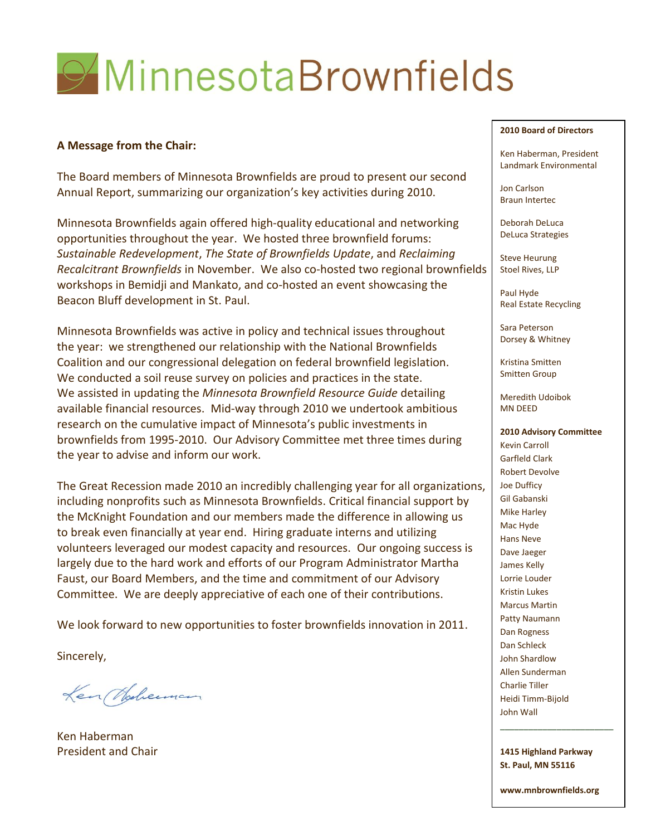# MinnesotaBrownfields

## **A Message from the Chair:**

The Board members of Minnesota Brownfields are proud to present our second Annual Report, summarizing our organization's key activities during 2010.

Minnesota Brownfields again offered high-quality educational and networking opportunities throughout the year. We hosted three brownfield forums: *Sustainable Redevelopment*, *The State of Brownfields Update*, and *Reclaiming Recalcitrant Brownfields* in November. We also co-hosted two regional brownfields workshops in Bemidji and Mankato, and co-hosted an event showcasing the Beacon Bluff development in St. Paul.

Minnesota Brownfields was active in policy and technical issues throughout the year: we strengthened our relationship with the National Brownfields Coalition and our congressional delegation on federal brownfield legislation. We conducted a soil reuse survey on policies and practices in the state. We assisted in updating the *Minnesota Brownfield Resource Guide* detailing available financial resources. Mid-way through 2010 we undertook ambitious research on the cumulative impact of Minnesota's public investments in brownfields from 1995-2010. Our Advisory Committee met three times during the year to advise and inform our work.

The Great Recession made 2010 an incredibly challenging year for all organizations, including nonprofits such as Minnesota Brownfields. Critical financial support by the McKnight Foundation and our members made the difference in allowing us to break even financially at year end. Hiring graduate interns and utilizing volunteers leveraged our modest capacity and resources. Our ongoing success is largely due to the hard work and efforts of our Program Administrator Martha Faust, our Board Members, and the time and commitment of our Advisory Committee. We are deeply appreciative of each one of their contributions.

We look forward to new opportunities to foster brownfields innovation in 2011.

Sincerely,

Ken (Nocheman

Ken Haberman President and Chair

#### **2010 Board of Directors**

Ken Haberman, President Landmark Environmental

Jon Carlson Braun Intertec

Deborah DeLuca DeLuca Strategies

Steve Heurung Stoel Rives, LLP

Paul Hyde Real Estate Recycling

Sara Peterson Dorsey & Whitney

Kristina Smitten Smitten Group

Meredith Udoibok MN DEED

**2010 Advisory Committee** Kevin Carroll Garfleld Clark Robert Devolve Joe Dufficy Gil Gabanski Mike Harley Mac Hyde Hans Neve Dave Jaeger James Kelly Lorrie Louder Kristin Lukes Marcus Martin Patty Naumann Dan Rogness Dan Schleck John Shardlow Allen Sunderman Charlie Tiller Heidi Timm-Bijold John Wall \_\_\_\_\_\_\_\_\_\_\_\_\_\_\_\_\_\_\_\_\_\_\_\_

**1415 Highland Parkway St. Paul, MN 55116**

**www.mnbrownfields.org**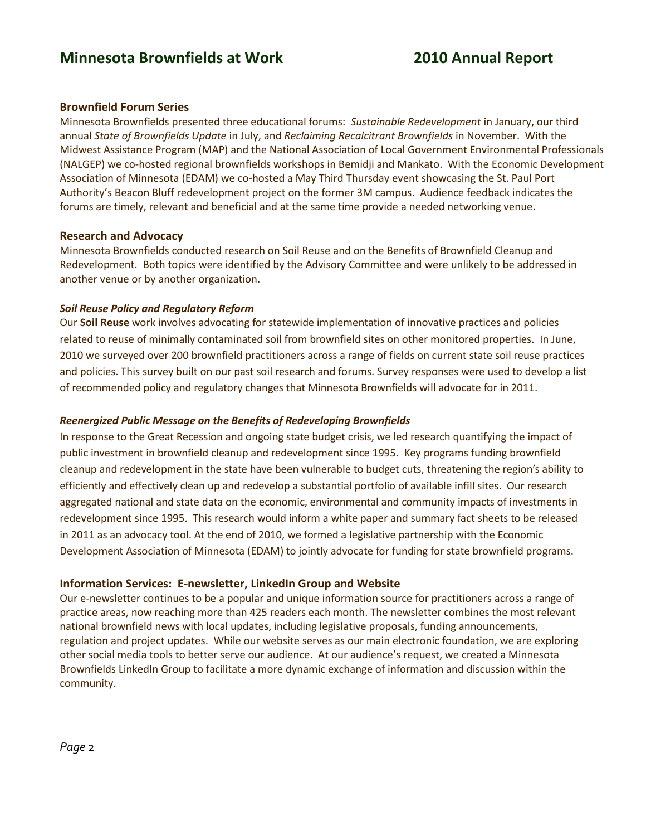# **Minnesota Brownfields at Work 2010 Annual Report**

#### **Brownfield Forum Series**

Minnesota Brownfields presented three educational forums: *Sustainable Redevelopment* in January, our third annual *State of Brownfields Update* in July, and *Reclaiming Recalcitrant Brownfields* in November. With the Midwest Assistance Program (MAP) and the National Association of Local Government Environmental Professionals (NALGEP) we co-hosted regional brownfields workshops in Bemidji and Mankato. With the Economic Development Association of Minnesota (EDAM) we co-hosted a May Third Thursday event showcasing the St. Paul Port Authority's Beacon Bluff redevelopment project on the former 3M campus. Audience feedback indicates the forums are timely, relevant and beneficial and at the same time provide a needed networking venue.

#### **Research and Advocacy**

Minnesota Brownfields conducted research on Soil Reuse and on the Benefits of Brownfield Cleanup and Redevelopment. Both topics were identified by the Advisory Committee and were unlikely to be addressed in another venue or by another organization.

#### *Soil Reuse Policy and Regulatory Reform*

Our **Soil Reuse** work involves advocating for statewide implementation of innovative practices and policies related to reuse of minimally contaminated soil from brownfield sites on other monitored properties. In June, 2010 we surveyed over 200 brownfield practitioners across a range of fields on current state soil reuse practices and policies. This survey built on our past soil research and forums. Survey responses were used to develop a list of recommended policy and regulatory changes that Minnesota Brownfields will advocate for in 2011.

#### *Reenergized Public Message on the Benefits of Redeveloping Brownfields*

In response to the Great Recession and ongoing state budget crisis, we led research quantifying the impact of public investment in brownfield cleanup and redevelopment since 1995. Key programs funding brownfield cleanup and redevelopment in the state have been vulnerable to budget cuts, threatening the region's ability to efficiently and effectively clean up and redevelop a substantial portfolio of available infill sites. Our research aggregated national and state data on the economic, environmental and community impacts of investments in redevelopment since 1995. This research would inform a white paper and summary fact sheets to be released in 2011 as an advocacy tool. At the end of 2010, we formed a legislative partnership with the Economic Development Association of Minnesota (EDAM) to jointly advocate for funding for state brownfield programs.

### **Information Services: E-newsletter, LinkedIn Group and Website**

Our e-newsletter continues to be a popular and unique information source for practitioners across a range of practice areas, now reaching more than 425 readers each month. The newsletter combines the most relevant national brownfield news with local updates, including legislative proposals, funding announcements, regulation and project updates. While our website serves as our main electronic foundation, we are exploring other social media tools to better serve our audience. At our audience's request, we created a Minnesota Brownfields LinkedIn Group to facilitate a more dynamic exchange of information and discussion within the community.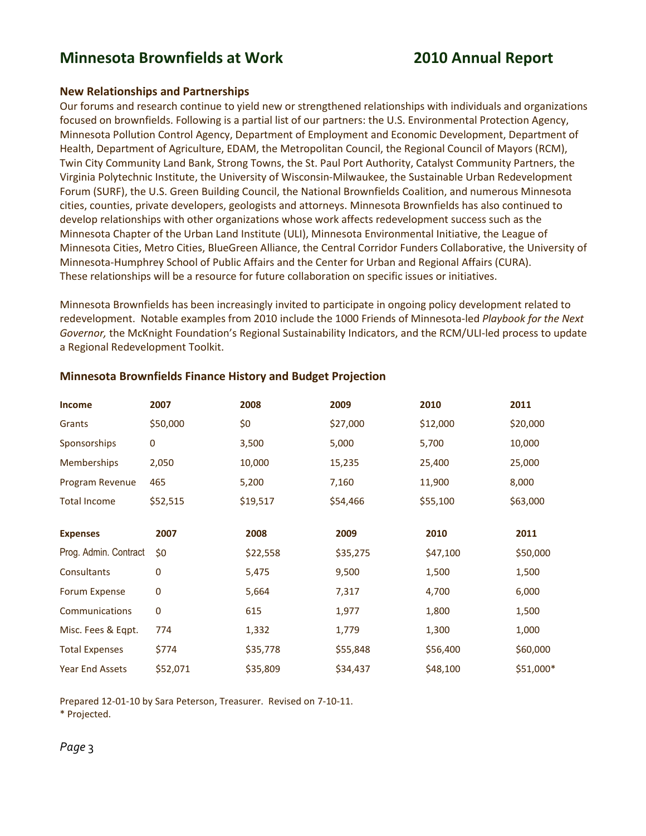# **Minnesota Brownfields at Work 2010 Annual Report**

### **New Relationships and Partnerships**

Our forums and research continue to yield new or strengthened relationships with individuals and organizations focused on brownfields. Following is a partial list of our partners: the U.S. Environmental Protection Agency, Minnesota Pollution Control Agency, Department of Employment and Economic Development, Department of Health, Department of Agriculture, EDAM, the Metropolitan Council, the Regional Council of Mayors (RCM), Twin City Community Land Bank, Strong Towns, the St. Paul Port Authority, Catalyst Community Partners, the Virginia Polytechnic Institute, the University of Wisconsin-Milwaukee, the Sustainable Urban Redevelopment Forum (SURF), the U.S. Green Building Council, the National Brownfields Coalition, and numerous Minnesota cities, counties, private developers, geologists and attorneys. Minnesota Brownfields has also continued to develop relationships with other organizations whose work affects redevelopment success such as the Minnesota Chapter of the Urban Land Institute (ULI), Minnesota Environmental Initiative, the League of Minnesota Cities, Metro Cities, BlueGreen Alliance, the Central Corridor Funders Collaborative, the University of Minnesota-Humphrey School of Public Affairs and the Center for Urban and Regional Affairs (CURA). These relationships will be a resource for future collaboration on specific issues or initiatives.

Minnesota Brownfields has been increasingly invited to participate in ongoing policy development related to redevelopment. Notable examples from 2010 include the 1000 Friends of Minnesota-led *Playbook for the Next Governor,* the McKnight Foundation's Regional Sustainability Indicators, and the RCM/ULI-led process to update a Regional Redevelopment Toolkit.

| <b>Income</b>          | 2007     | 2008     | 2009     | 2010     | 2011      |
|------------------------|----------|----------|----------|----------|-----------|
| Grants                 | \$50,000 | \$0      | \$27,000 | \$12,000 | \$20,000  |
| Sponsorships           | 0        | 3,500    | 5,000    | 5,700    | 10,000    |
| <b>Memberships</b>     | 2,050    | 10,000   | 15,235   | 25,400   | 25,000    |
| Program Revenue        | 465      | 5,200    | 7,160    | 11,900   | 8,000     |
| <b>Total Income</b>    | \$52,515 | \$19,517 | \$54,466 | \$55,100 | \$63,000  |
|                        |          |          |          |          |           |
| <b>Expenses</b>        | 2007     | 2008     | 2009     | 2010     | 2011      |
| Prog. Admin. Contract  | \$0      | \$22,558 | \$35,275 | \$47,100 | \$50,000  |
| Consultants            | 0        | 5,475    | 9,500    | 1,500    | 1,500     |
| Forum Expense          | $\bf{0}$ | 5,664    | 7,317    | 4,700    | 6,000     |
| Communications         | $\bf{0}$ | 615      | 1,977    | 1,800    | 1,500     |
| Misc. Fees & Eqpt.     | 774      | 1,332    | 1,779    | 1,300    | 1,000     |
| <b>Total Expenses</b>  | \$774    | \$35,778 | \$55,848 | \$56,400 | \$60,000  |
| <b>Year End Assets</b> | \$52,071 | \$35,809 | \$34,437 | \$48,100 | \$51,000* |

#### **Minnesota Brownfields Finance History and Budget Projection**

Prepared 12-01-10 by Sara Peterson, Treasurer. Revised on 7-10-11.

\* Projected.

*Page* 3